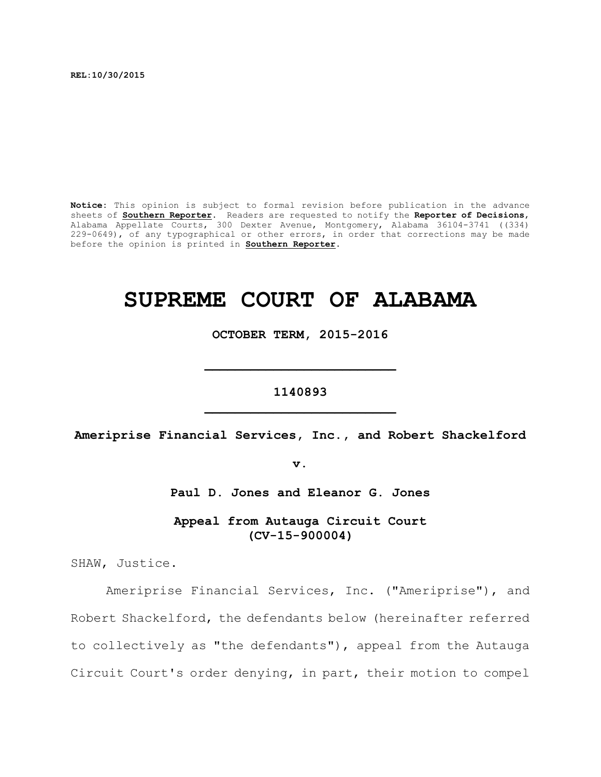**REL:10/30/2015**

**Notice:** This opinion is subject to formal revision before publication in the advance sheets of **Southern Reporter**. Readers are requested to notify the **Reporter of Decisions**, Alabama Appellate Courts, 300 Dexter Avenue, Montgomery, Alabama 36104-3741 ((334) 229-0649), of any typographical or other errors, in order that corrections may be made before the opinion is printed in **Southern Reporter**.

# **SUPREME COURT OF ALABAMA**

**OCTOBER TERM, 2015-2016**

**\_\_\_\_\_\_\_\_\_\_\_\_\_\_\_\_\_\_\_\_\_\_\_\_\_**

**1140893 \_\_\_\_\_\_\_\_\_\_\_\_\_\_\_\_\_\_\_\_\_\_\_\_\_**

**Ameriprise Financial Services, Inc., and Robert Shackelford**

**v.**

**Paul D. Jones and Eleanor G. Jones**

**Appeal from Autauga Circuit Court (CV-15-900004)**

SHAW, Justice.

Ameriprise Financial Services, Inc. ("Ameriprise"), and Robert Shackelford, the defendants below (hereinafter referred to collectively as "the defendants"), appeal from the Autauga Circuit Court's order denying, in part, their motion to compel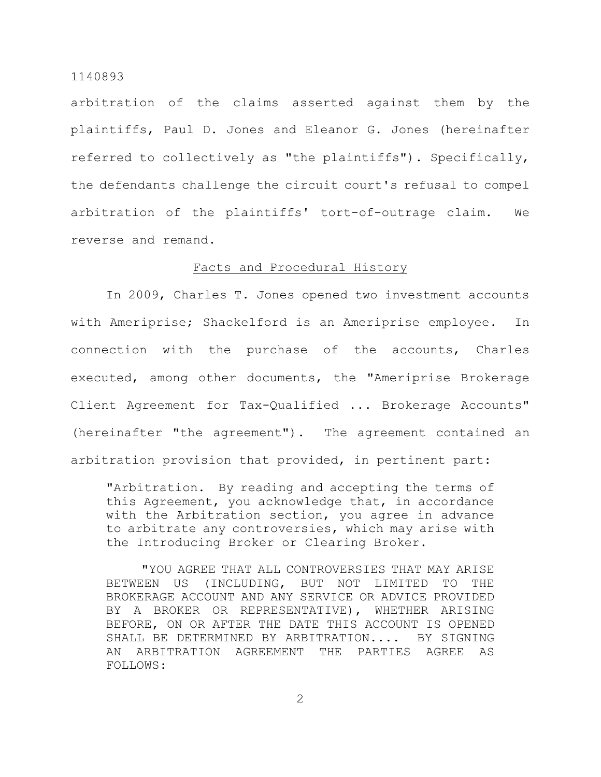arbitration of the claims asserted against them by the plaintiffs, Paul D. Jones and Eleanor G. Jones (hereinafter referred to collectively as "the plaintiffs"). Specifically, the defendants challenge the circuit court's refusal to compel arbitration of the plaintiffs' tort-of-outrage claim. We reverse and remand.

## Facts and Procedural History

In 2009, Charles T. Jones opened two investment accounts with Ameriprise; Shackelford is an Ameriprise employee. In connection with the purchase of the accounts, Charles executed, among other documents, the "Ameriprise Brokerage Client Agreement for Tax-Qualified ... Brokerage Accounts" (hereinafter "the agreement"). The agreement contained an arbitration provision that provided, in pertinent part:

"Arbitration. By reading and accepting the terms of this Agreement, you acknowledge that, in accordance with the Arbitration section, you agree in advance to arbitrate any controversies, which may arise with the Introducing Broker or Clearing Broker.

"YOU AGREE THAT ALL CONTROVERSIES THAT MAY ARISE BETWEEN US (INCLUDING, BUT NOT LIMITED TO THE BROKERAGE ACCOUNT AND ANY SERVICE OR ADVICE PROVIDED BY A BROKER OR REPRESENTATIVE), WHETHER ARISING BEFORE, ON OR AFTER THE DATE THIS ACCOUNT IS OPENED SHALL BE DETERMINED BY ARBITRATION.... BY SIGNING AN ARBITRATION AGREEMENT THE PARTIES AGREE AS FOLLOWS: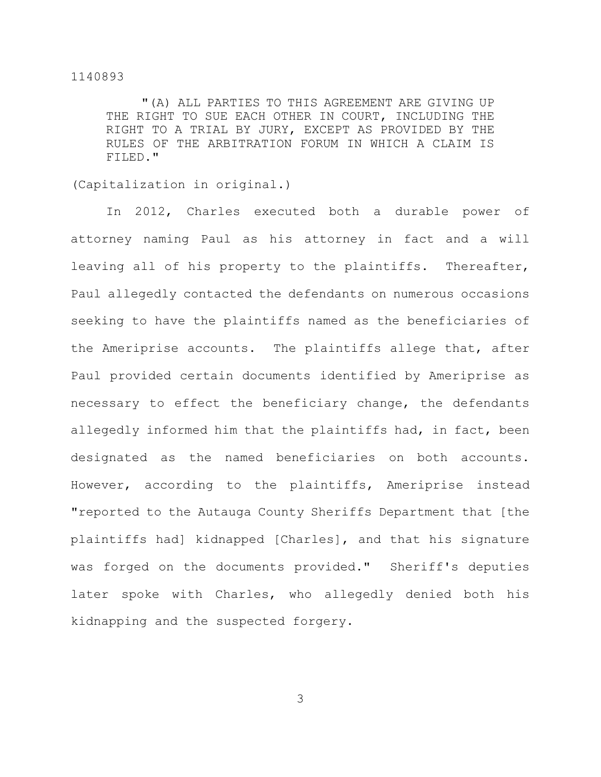"(A) ALL PARTIES TO THIS AGREEMENT ARE GIVING UP THE RIGHT TO SUE EACH OTHER IN COURT, INCLUDING THE RIGHT TO A TRIAL BY JURY, EXCEPT AS PROVIDED BY THE RULES OF THE ARBITRATION FORUM IN WHICH A CLAIM IS FILED."

(Capitalization in original.)

In 2012, Charles executed both a durable power of attorney naming Paul as his attorney in fact and a will leaving all of his property to the plaintiffs. Thereafter, Paul allegedly contacted the defendants on numerous occasions seeking to have the plaintiffs named as the beneficiaries of the Ameriprise accounts. The plaintiffs allege that, after Paul provided certain documents identified by Ameriprise as necessary to effect the beneficiary change, the defendants allegedly informed him that the plaintiffs had, in fact, been designated as the named beneficiaries on both accounts. However, according to the plaintiffs, Ameriprise instead "reported to the Autauga County Sheriffs Department that [the plaintiffs had] kidnapped [Charles], and that his signature was forged on the documents provided." Sheriff's deputies later spoke with Charles, who allegedly denied both his kidnapping and the suspected forgery.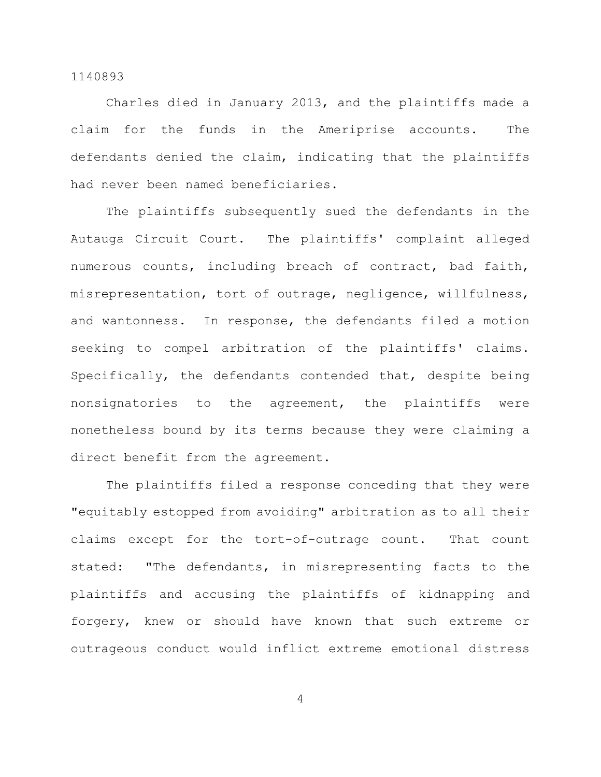Charles died in January 2013, and the plaintiffs made a claim for the funds in the Ameriprise accounts. The defendants denied the claim, indicating that the plaintiffs had never been named beneficiaries.

The plaintiffs subsequently sued the defendants in the Autauga Circuit Court. The plaintiffs' complaint alleged numerous counts, including breach of contract, bad faith, misrepresentation, tort of outrage, negligence, willfulness, and wantonness. In response, the defendants filed a motion seeking to compel arbitration of the plaintiffs' claims. Specifically, the defendants contended that, despite being nonsignatories to the agreement, the plaintiffs were nonetheless bound by its terms because they were claiming a direct benefit from the agreement.

The plaintiffs filed a response conceding that they were "equitably estopped from avoiding" arbitration as to all their claims except for the tort-of-outrage count. That count stated: "The defendants, in misrepresenting facts to the plaintiffs and accusing the plaintiffs of kidnapping and forgery, knew or should have known that such extreme or outrageous conduct would inflict extreme emotional distress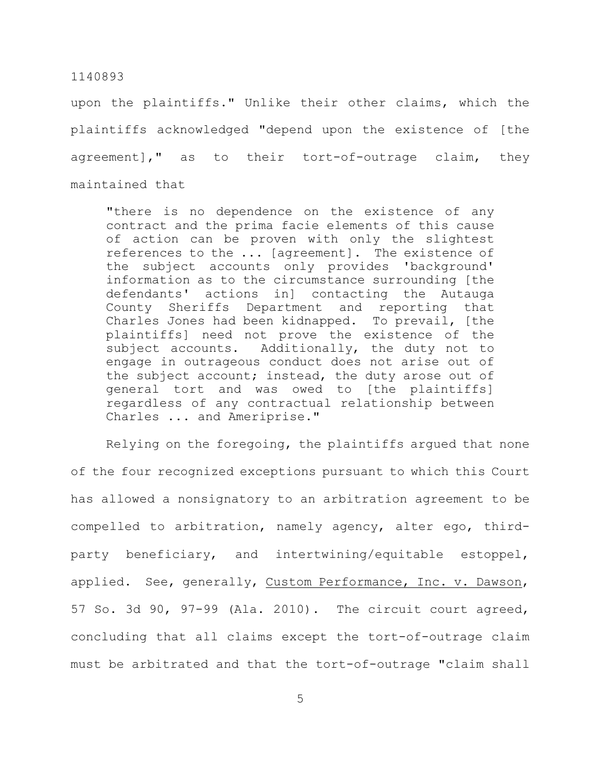upon the plaintiffs." Unlike their other claims, which the plaintiffs acknowledged "depend upon the existence of [the agreement]," as to their tort-of-outrage claim, they maintained that

"there is no dependence on the existence of any contract and the prima facie elements of this cause of action can be proven with only the slightest references to the ... [agreement]. The existence of the subject accounts only provides 'background' information as to the circumstance surrounding [the defendants' actions in] contacting the Autauga County Sheriffs Department and reporting that Charles Jones had been kidnapped. To prevail, [the plaintiffs] need not prove the existence of the subject accounts. Additionally, the duty not to engage in outrageous conduct does not arise out of the subject account; instead, the duty arose out of general tort and was owed to [the plaintiffs] regardless of any contractual relationship between Charles ... and Ameriprise."

Relying on the foregoing, the plaintiffs argued that none of the four recognized exceptions pursuant to which this Court has allowed a nonsignatory to an arbitration agreement to be compelled to arbitration, namely agency, alter ego, thirdparty beneficiary, and intertwining/equitable estoppel, applied. See, generally, Custom Performance, Inc. v. Dawson, 57 So. 3d 90, 97-99 (Ala. 2010). The circuit court agreed, concluding that all claims except the tort-of-outrage claim must be arbitrated and that the tort-of-outrage "claim shall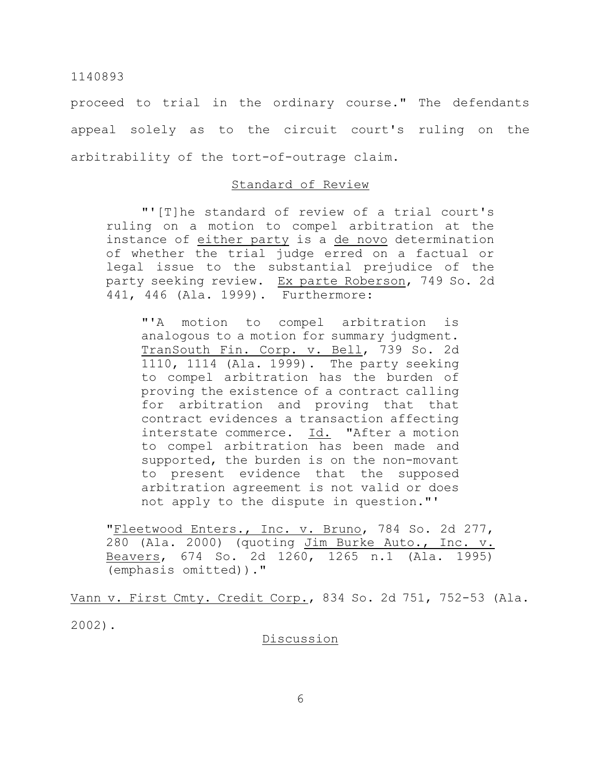proceed to trial in the ordinary course." The defendants appeal solely as to the circuit court's ruling on the arbitrability of the tort-of-outrage claim.

## Standard of Review

"'[T]he standard of review of a trial court's ruling on a motion to compel arbitration at the instance of either party is a de novo determination of whether the trial judge erred on a factual or legal issue to the substantial prejudice of the party seeking review. Ex parte Roberson, 749 So. 2d 441, 446 (Ala. 1999). Furthermore:

"'A motion to compel arbitration is analogous to a motion for summary judgment. TranSouth Fin. Corp. v. Bell, 739 So. 2d 1110, 1114 (Ala. 1999). The party seeking to compel arbitration has the burden of proving the existence of a contract calling for arbitration and proving that that contract evidences a transaction affecting interstate commerce. Id. "After a motion to compel arbitration has been made and supported, the burden is on the non-movant to present evidence that the supposed arbitration agreement is not valid or does not apply to the dispute in question."'

"Fleetwood Enters., Inc. v. Bruno, 784 So. 2d 277, 280 (Ala. 2000) (quoting Jim Burke Auto., Inc. v. Beavers, 674 So. 2d 1260, 1265 n.1 (Ala. 1995) (emphasis omitted))."

Vann v. First Cmty. Credit Corp., 834 So. 2d 751, 752-53 (Ala. 2002).

**Discussion**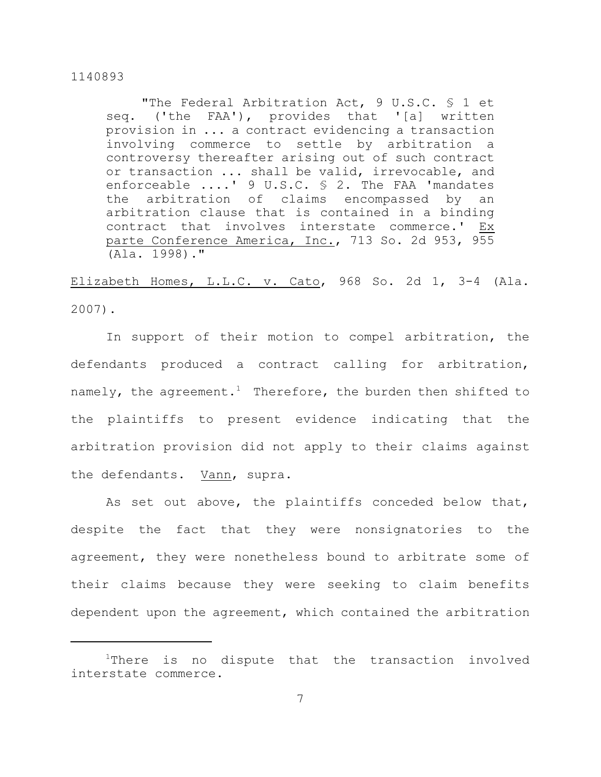"The Federal Arbitration Act, 9 U.S.C. § 1 et seq. ('the FAA'), provides that '[a] written provision in ... a contract evidencing a transaction involving commerce to settle by arbitration a controversy thereafter arising out of such contract or transaction ... shall be valid, irrevocable, and enforceable ....' 9 U.S.C. § 2. The FAA 'mandates the arbitration of claims encompassed by an arbitration clause that is contained in a binding contract that involves interstate commerce.' Ex parte Conference America, Inc., 713 So. 2d 953, 955 (Ala. 1998)."

Elizabeth Homes, L.L.C. v. Cato, 968 So. 2d 1, 3-4 (Ala. 2007).

In support of their motion to compel arbitration, the defendants produced a contract calling for arbitration, namely, the agreement.<sup>1</sup> Therefore, the burden then shifted to the plaintiffs to present evidence indicating that the arbitration provision did not apply to their claims against the defendants. Vann, supra.

As set out above, the plaintiffs conceded below that, despite the fact that they were nonsignatories to the agreement, they were nonetheless bound to arbitrate some of their claims because they were seeking to claim benefits dependent upon the agreement, which contained the arbitration

 $1$ There is no dispute that the transaction involved interstate commerce.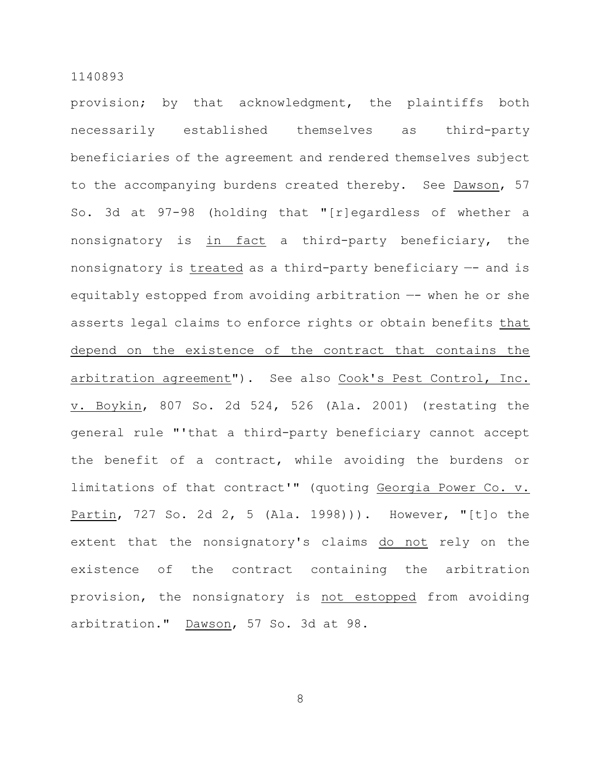provision; by that acknowledgment, the plaintiffs both necessarily established themselves as third-party beneficiaries of the agreement and rendered themselves subject to the accompanying burdens created thereby. See Dawson, 57 So. 3d at 97-98 (holding that "[r]egardless of whether a nonsignatory is in fact a third-party beneficiary, the nonsignatory is treated as a third-party beneficiary -- and is equitably estopped from avoiding arbitration —- when he or she asserts legal claims to enforce rights or obtain benefits that depend on the existence of the contract that contains the arbitration agreement"). See also Cook's Pest Control, Inc. v. Boykin, 807 So. 2d 524, 526 (Ala. 2001) (restating the general rule "'that a third-party beneficiary cannot accept the benefit of a contract, while avoiding the burdens or limitations of that contract'" (quoting Georgia Power Co. v. Partin, 727 So. 2d 2, 5 (Ala. 1998))). However, "[t]o the extent that the nonsignatory's claims do not rely on the existence of the contract containing the arbitration provision, the nonsignatory is not estopped from avoiding arbitration." Dawson, 57 So. 3d at 98.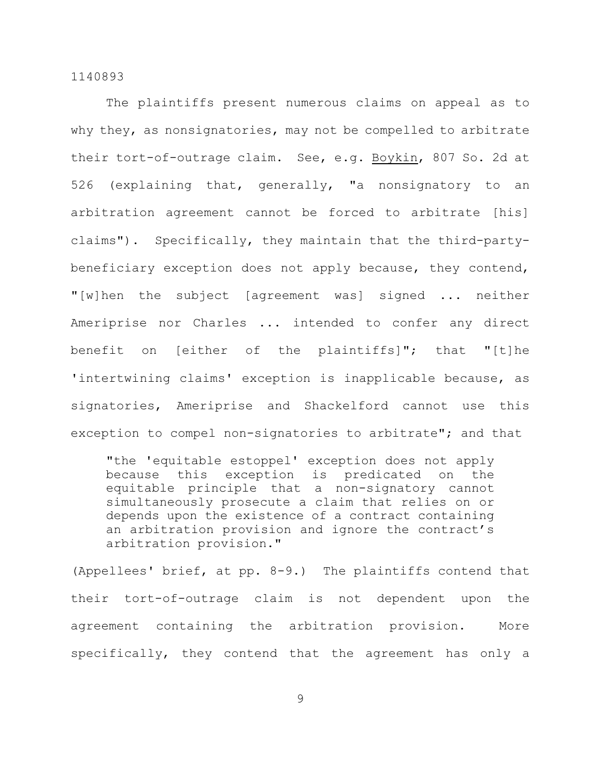The plaintiffs present numerous claims on appeal as to why they, as nonsignatories, may not be compelled to arbitrate their tort-of-outrage claim. See, e.g. Boykin, 807 So. 2d at 526 (explaining that, generally, "a nonsignatory to an arbitration agreement cannot be forced to arbitrate [his] claims"). Specifically, they maintain that the third-partybeneficiary exception does not apply because, they contend, "[w]hen the subject [agreement was] signed ... neither Ameriprise nor Charles ... intended to confer any direct benefit on [either of the plaintiffs]"; that "[t]he 'intertwining claims' exception is inapplicable because, as signatories, Ameriprise and Shackelford cannot use this exception to compel non-signatories to arbitrate"; and that

"the 'equitable estoppel' exception does not apply because this exception is predicated on the equitable principle that a non-signatory cannot simultaneously prosecute a claim that relies on or depends upon the existence of a contract containing an arbitration provision and ignore the contract's arbitration provision."

(Appellees' brief, at pp. 8-9.) The plaintiffs contend that their tort-of-outrage claim is not dependent upon the agreement containing the arbitration provision. More specifically, they contend that the agreement has only a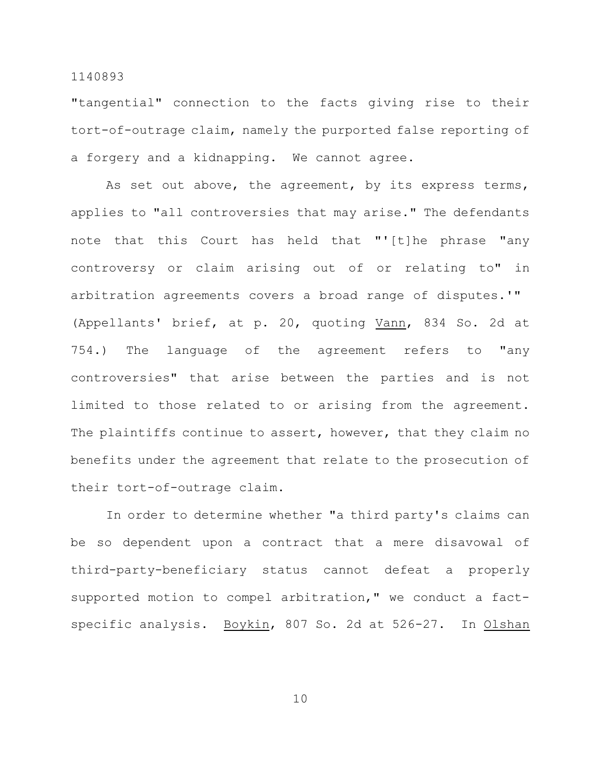"tangential" connection to the facts giving rise to their tort-of-outrage claim, namely the purported false reporting of a forgery and a kidnapping. We cannot agree.

As set out above, the agreement, by its express terms, applies to "all controversies that may arise." The defendants note that this Court has held that "'[t]he phrase "any controversy or claim arising out of or relating to" in arbitration agreements covers a broad range of disputes.'" (Appellants' brief, at p. 20, quoting Vann, 834 So. 2d at 754.) The language of the agreement refers to "any controversies" that arise between the parties and is not limited to those related to or arising from the agreement. The plaintiffs continue to assert, however, that they claim no benefits under the agreement that relate to the prosecution of their tort-of-outrage claim.

In order to determine whether "a third party's claims can be so dependent upon a contract that a mere disavowal of third-party-beneficiary status cannot defeat a properly supported motion to compel arbitration," we conduct a factspecific analysis. Boykin, 807 So. 2d at 526-27. In Olshan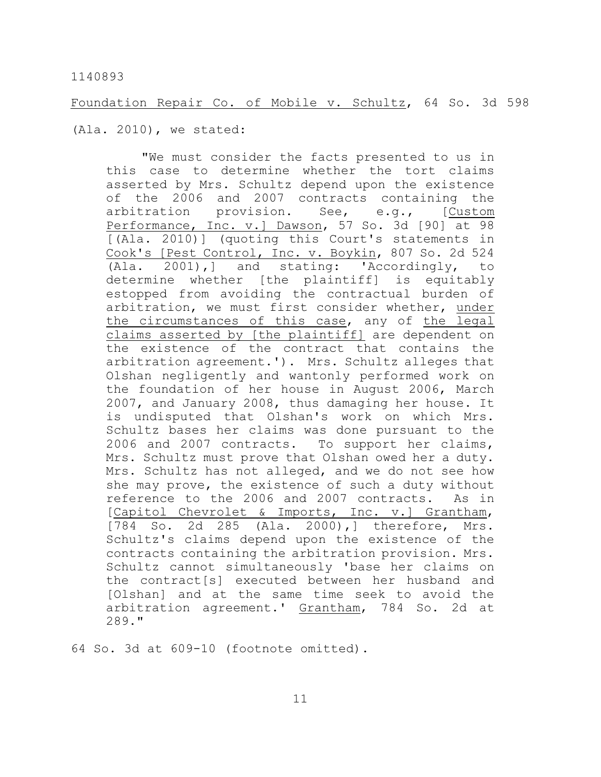Foundation Repair Co. of Mobile v. Schultz, 64 So. 3d 598

(Ala. 2010), we stated:

"We must consider the facts presented to us in this case to determine whether the tort claims asserted by Mrs. Schultz depend upon the existence of the 2006 and 2007 contracts containing the arbitration provision. See, e.g., [Custom Performance, Inc. v.] Dawson, 57 So. 3d [90] at 98 [(Ala. 2010)] (quoting this Court's statements in Cook's [Pest Control, Inc. v. Boykin, 807 So. 2d 524 (Ala. 2001),] and stating: 'Accordingly, to determine whether [the plaintiff] is equitably estopped from avoiding the contractual burden of arbitration, we must first consider whether, under the circumstances of this case, any of the legal claims asserted by [the plaintiff] are dependent on the existence of the contract that contains the arbitration agreement.'). Mrs. Schultz alleges that Olshan negligently and wantonly performed work on the foundation of her house in August 2006, March 2007, and January 2008, thus damaging her house. It is undisputed that Olshan's work on which Mrs. Schultz bases her claims was done pursuant to the 2006 and 2007 contracts. To support her claims, Mrs. Schultz must prove that Olshan owed her a duty. Mrs. Schultz has not alleged, and we do not see how she may prove, the existence of such a duty without reference to the 2006 and 2007 contracts. As in [Capitol Chevrolet & Imports, Inc. v.] Grantham, [784 So. 2d 285 (Ala. 2000),] therefore, Mrs. Schultz's claims depend upon the existence of the contracts containing the arbitration provision. Mrs. Schultz cannot simultaneously 'base her claims on the contract[s] executed between her husband and [Olshan] and at the same time seek to avoid the arbitration agreement.' Grantham, 784 So. 2d at 289."

64 So. 3d at 609-10 (footnote omitted).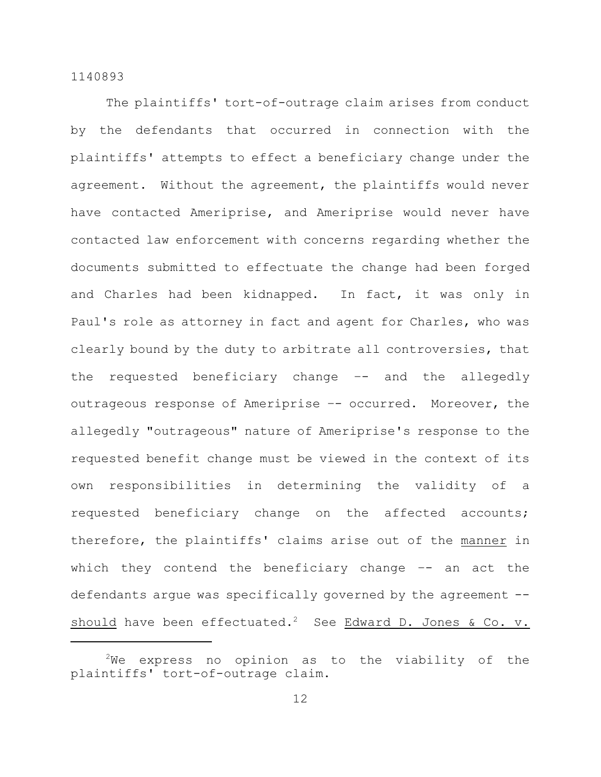The plaintiffs' tort-of-outrage claim arises from conduct by the defendants that occurred in connection with the plaintiffs' attempts to effect a beneficiary change under the agreement. Without the agreement, the plaintiffs would never have contacted Ameriprise, and Ameriprise would never have contacted law enforcement with concerns regarding whether the documents submitted to effectuate the change had been forged and Charles had been kidnapped. In fact, it was only in Paul's role as attorney in fact and agent for Charles, who was clearly bound by the duty to arbitrate all controversies, that the requested beneficiary change –- and the allegedly outrageous response of Ameriprise -- occurred. Moreover, the allegedly "outrageous" nature of Ameriprise's response to the requested benefit change must be viewed in the context of its own responsibilities in determining the validity of a requested beneficiary change on the affected accounts; therefore, the plaintiffs' claims arise out of the manner in which they contend the beneficiary change -- an act the defendants argue was specifically governed by the agreement - should have been effectuated.<sup>2</sup> See Edward D. Jones & Co. v.

 $2$ We express no opinion as to the viability of the plaintiffs' tort-of-outrage claim.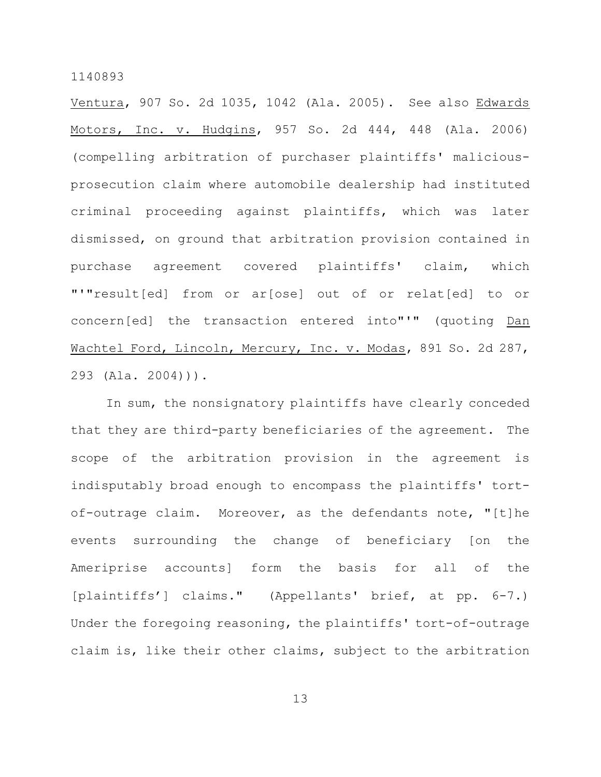Ventura, 907 So. 2d 1035, 1042 (Ala. 2005). See also Edwards Motors, Inc. v. Hudgins, 957 So. 2d 444, 448 (Ala. 2006) (compelling arbitration of purchaser plaintiffs' maliciousprosecution claim where automobile dealership had instituted criminal proceeding against plaintiffs, which was later dismissed, on ground that arbitration provision contained in purchase agreement covered plaintiffs' claim, which "'"result[ed] from or ar[ose] out of or relat[ed] to or concern[ed] the transaction entered into"'" (quoting Dan Wachtel Ford, Lincoln, Mercury, Inc. v. Modas, 891 So. 2d 287, 293 (Ala. 2004))).

In sum, the nonsignatory plaintiffs have clearly conceded that they are third-party beneficiaries of the agreement. The scope of the arbitration provision in the agreement is indisputably broad enough to encompass the plaintiffs' tortof-outrage claim. Moreover, as the defendants note, "[t]he events surrounding the change of beneficiary [on the Ameriprise accounts] form the basis for all of the [plaintiffs'] claims." (Appellants' brief, at pp. 6-7.) Under the foregoing reasoning, the plaintiffs' tort-of-outrage claim is, like their other claims, subject to the arbitration